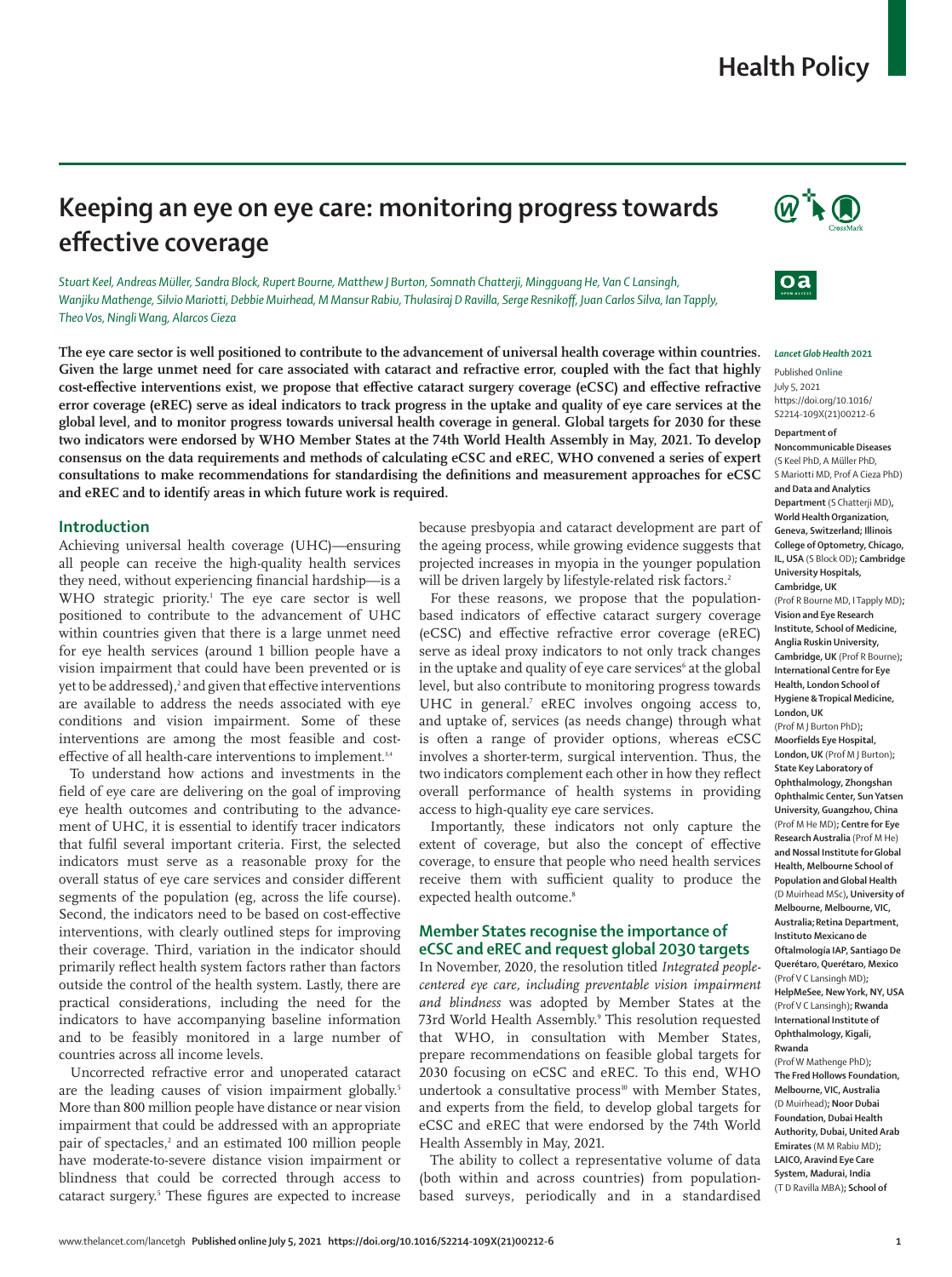# **Health Policy**

# **Keeping an eye on eye care: monitoring progress towards effective coverage**

*Stuart Keel, Andreas Müller, Sandra Block, Rupert Bourne, Matthew J Burton, Somnath Chatterji, Mingguang He, Van C Lansingh, Wanjiku Mathenge, Silvio Mariotti, Debbie Muirhead, M Mansur Rabiu, Thulasiraj D Ravilla, Serge Resnikoff, Juan Carlos Silva, Ian Tapply, Theo Vos, Ningli Wang, Alarcos Cieza*

**The eye care sector is well positioned to contribute to the advancement of universal health coverage within countries. Given the large unmet need for care associated with cataract and refractive error, coupled with the fact that highly cost-effective interventions exist, we propose that effective cataract surgery coverage (eCSC) and effective refractive error coverage (eREC) serve as ideal indicators to track progress in the uptake and quality of eye care services at the global level, and to monitor progress towards universal health coverage in general. Global targets for 2030 for these two indicators were endorsed by WHO Member States at the 74th World Health Assembly in May, 2021. To develop consensus on the data requirements and methods of calculating eCSC and eREC, WHO convened a series of expert consultations to make recommendations for standardising the definitions and measurement approaches for eCSC and eREC and to identify areas in which future work is required.**

### **Introduction**

Achieving universal health coverage (UHC)—ensuring all people can receive the high-quality health services they need, without experiencing financial hardship—is a WHO strategic priority.<sup>1</sup> The eye care sector is well positioned to contribute to the advancement of UHC within countries given that there is a large unmet need for eye health services (around 1 billion people have a vision impairment that could have been prevented or is yet to be addressed), $^2$  and given that effective interventions are available to address the needs associated with eye conditions and vision impairment. Some of these interventions are among the most feasible and costeffective of all health-care interventions to implement.<sup>3,4</sup>

To understand how actions and investments in the field of eye care are delivering on the goal of improving eye health outcomes and contributing to the advancement of UHC, it is essential to identify tracer indicators that fulfil several important criteria. First, the selected indicators must serve as a reasonable proxy for the overall status of eye care services and consider different segments of the population (eg, across the life course). Second, the indicators need to be based on cost-effective interventions, with clearly outlined steps for improving their coverage. Third, variation in the indicator should primarily reflect health system factors rather than factors outside the control of the health system. Lastly, there are practical considerations, including the need for the indicators to have accompanying baseline information and to be feasibly monitored in a large number of countries across all income levels.

Uncorrected refractive error and unoperated cataract are the leading causes of vision impairment globally.<sup>5</sup> More than 800 million people have distance or near vision impairment that could be addressed with an appropriate pair of spectacles,<sup>2</sup> and an estimated 100 million people have moderate-to-severe distance vision impairment or blindness that could be corrected through access to cataract surgery.5 These figures are expected to increase because presbyopia and cataract development are part of the ageing process, while growing evidence suggests that projected increases in myopia in the younger population will be driven largely by lifestyle-related risk factors.<sup>2</sup>

For these reasons, we propose that the populationbased indicators of effective cataract surgery coverage (eCSC) and effective refractive error coverage (eREC) serve as ideal proxy indicators to not only track changes in the uptake and quality of eye care services<sup>6</sup> at the global level, but also contribute to monitoring progress towards UHC in general.<sup>7</sup> eREC involves ongoing access to, and uptake of, services (as needs change) through what is often a range of provider options, whereas eCSC involves a shorter-term, surgical intervention. Thus, the two indicators complement each other in how they reflect overall performance of health systems in providing access to high-quality eye care services.

Importantly, these indicators not only capture the extent of coverage, but also the concept of effective coverage, to ensure that people who need health services receive them with sufficient quality to produce the expected health outcome.<sup>8</sup>

## **Member States recognise the importance of eCSC and eREC and request global 2030 targets**

In November, 2020, the resolution titled *Integrated peoplecentered eye care, including preventable vision impairment and blindness* was adopted by Member States at the 73rd World Health Assembly.<sup>9</sup> This resolution requested that WHO, in consultation with Member States, prepare recommendations on feasible global targets for 2030 focusing on eCSC and eREC. To this end, WHO undertook a consultative process<sup>10</sup> with Member States, and experts from the field, to develop global targets for eCSC and eREC that were endorsed by the 74th World Health Assembly in May, 2021.

The ability to collect a representative volume of data (both within and across countries) from populationbased surveys, periodically and in a standardised





#### *Lancet Glob Health* **2021**

Published **Online** July 5, 2021 https://doi.org/10.1016/ S2214-109X(21)00212-6 **Department of Noncommunicable Diseases** (S Keel PhD, A Müller PhD, S Mariotti MD, Prof A Cieza PhD) **and Data and Analytics Department** (S Chatterji MD)**, World Health Organization, Geneva, Switzerland; Illinois College of Optometry, Chicago, IL, USA** (S Block OD)**; Cambridge University Hospitals, Cambridge, UK**

(Prof R Bourne MD, I Tapply MD)**; Vision and Eye Research Institute, School of Medicine, Anglia Ruskin University, Cambridge, UK** (Prof R Bourne)**; International Centre for Eye Health, London School of Hygiene & Tropical Medicine, London, UK**

(Prof M J Burton PhD)**; Moorfields Eye Hospital, London, UK** (Prof M J Burton)**; State Key Laboratory of Ophthalmology, Zhongshan Ophthalmic Center, Sun Yatsen University, Guangzhou, China** (Prof M He MD)**; Centre for Eye Research Australia** (Prof M He) **and Nossal Institute for Global Health, Melbourne School of Population and Global Health**  (D Muirhead MSc)**, University of Melbourne, Melbourne, VIC, Australia;Retina Department, Instituto Mexicano de Oftalmología IAP, Santiago De Querétaro, Querétaro, Mexico**  (Prof V C Lansingh MD)**; HelpMeSee, New York, NY, USA** (Prof V C Lansingh)**; Rwanda International Institute of Ophthalmology, Kigali, Rwanda** 

(Prof W Mathenge PhD)**; The Fred Hollows Foundation, Melbourne, VIC, Australia** (D Muirhead)**; Noor Dubai Foundation, Dubai Health Authority, Dubai, United Arab Emirates** (M M Rabiu MD)**; LAICO, Aravind Eye Care System, Madurai, India** (T D Ravilla MBA)**; School of**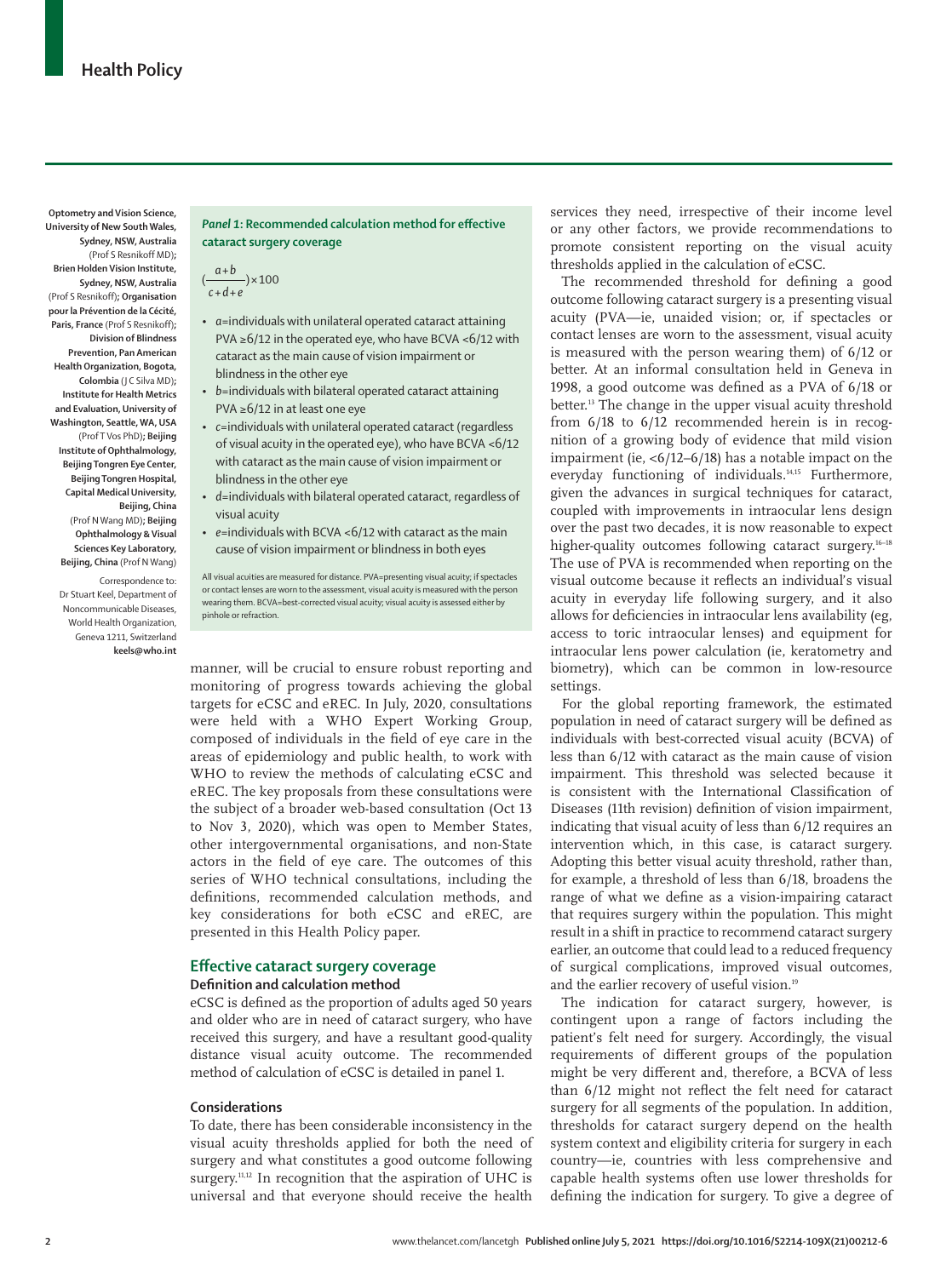**University of New South Wales, Sydney, NSW, Australia** (Prof S Resnikoff MD)**; Brien Holden Vision Institute, Sydney, NSW, Australia** (Prof S Resnikoff)**; Organisation pour la Prévention de la Cécité, Paris, France** (Prof S Resnikoff)**; Division of Blindness Prevention, Pan American Health Organization, Bogota, Colombia** (J C Silva MD)**; Institute for Health Metrics and Evaluation, University of Washington, Seattle, WA, USA** (Prof T Vos PhD)**; Beijing Institute of Ophthalmology, Beijing Tongren Eye Center, Beijing Tongren Hospital, Capital Medical University, Beijing, China**

**Optometry and Vision Science,** 

(Prof N Wang MD)**; Beijing Ophthalmology & Visual Sciences Key Laboratory, Beijing, China** (Prof N Wang)

Correspondence to: Dr Stuart Keel, Department of Noncommunicable Diseases, World Health Organization, Geneva 1211, Switzerland **keels@who.int**

# *Panel 1***: Recommended calculation method for effective cataract surgery coverage**

- $\frac{a+b}{c+d+e}$  \  $\times$  100
- *a*=individuals with unilateral operated cataract attaining PVA ≥6/12 in the operated eye, who have BCVA <6/12 with cataract as the main cause of vision impairment or blindness in the other eye
- *b*=individuals with bilateral operated cataract attaining PVA ≥6/12 in at least one eye
- *c*=individuals with unilateral operated cataract (regardless of visual acuity in the operated eye), who have BCVA <6/12 with cataract as the main cause of vision impairment or blindness in the other eye
- *d*=individuals with bilateral operated cataract, regardless of visual acuity
- *e*=individuals with BCVA <6/12 with cataract as the main cause of vision impairment or blindness in both eyes

All visual acuities are measured for distance. PVA=presenting visual acuity; if spectacles or contact lenses are worn to the assessment, visual acuity is measured with the person wearing them. BCVA=best-corrected visual acuity; visual acuity is assessed either by pinhole or refraction.

manner, will be crucial to ensure robust reporting and monitoring of progress towards achieving the global targets for eCSC and eREC. In July, 2020, consultations were held with a WHO Expert Working Group, composed of individuals in the field of eye care in the areas of epidemiology and public health, to work with WHO to review the methods of calculating eCSC and eREC. The key proposals from these consultations were the subject of a broader web-based consultation (Oct 13 to Nov 3, 2020), which was open to Member States, other intergovernmental organisations, and non-State actors in the field of eye care. The outcomes of this series of WHO technical consultations, including the definitions, recommended calculation methods, and key considerations for both eCSC and eREC, are presented in this Health Policy paper.

## **Effective cataract surgery coverage**

## **Definition and calculation method**

eCSC is defined as the proportion of adults aged 50 years and older who are in need of cataract surgery, who have received this surgery, and have a resultant good-quality distance visual acuity outcome. The recommended method of calculation of eCSC is detailed in panel 1.

### **Considerations**

To date, there has been considerable inconsistency in the visual acuity thresholds applied for both the need of surgery and what constitutes a good outcome following surgery.<sup>11,12</sup> In recognition that the aspiration of UHC is universal and that everyone should receive the health services they need, irrespective of their income level or any other factors, we provide recommendations to promote consistent reporting on the visual acuity thresholds applied in the calculation of eCSC.

The recommended threshold for defining a good outcome following cataract surgery is a presenting visual acuity (PVA—ie, unaided vision; or, if spectacles or contact lenses are worn to the assessment, visual acuity is measured with the person wearing them) of 6/12 or better. At an informal consultation held in Geneva in 1998, a good outcome was defined as a PVA of 6/18 or better.13 The change in the upper visual acuity threshold from 6/18 to 6/12 recommended herein is in recognition of a growing body of evidence that mild vision impairment (ie, <6/12–6/18) has a notable impact on the everyday functioning of individuals.14,15 Furthermore, given the advances in surgical techniques for cataract, coupled with improvements in intraocular lens design over the past two decades, it is now reasonable to expect higher-quality outcomes following cataract surgery.<sup>16-18</sup> The use of PVA is recommended when reporting on the visual outcome because it reflects an individual's visual acuity in everyday life following surgery, and it also allows for deficiencies in intraocular lens availability (eg, access to toric intraocular lenses) and equipment for intraocular lens power calculation (ie, keratometry and biometry), which can be common in low-resource settings.

For the global reporting framework, the estimated population in need of cataract surgery will be defined as individuals with best-corrected visual acuity (BCVA) of less than 6/12 with cataract as the main cause of vision impairment. This threshold was selected because it is consistent with the International Classification of Diseases (11th revision) definition of vision impairment, indicating that visual acuity of less than 6/12 requires an intervention which, in this case, is cataract surgery. Adopting this better visual acuity threshold, rather than, for example, a threshold of less than 6/18, broadens the range of what we define as a vision-impairing cataract that requires surgery within the population. This might result in a shift in practice to recommend cataract surgery earlier, an outcome that could lead to a reduced frequency of surgical complications, improved visual outcomes, and the earlier recovery of useful vision.<sup>19</sup>

The indication for cataract surgery, however, is contingent upon a range of factors including the patient's felt need for surgery. Accordingly, the visual requirements of different groups of the population might be very different and, therefore, a BCVA of less than 6/12 might not reflect the felt need for cataract surgery for all segments of the population. In addition, thresholds for cataract surgery depend on the health system context and eligibility criteria for surgery in each country—ie, countries with less comprehensive and capable health systems often use lower thresholds for defining the indication for surgery. To give a degree of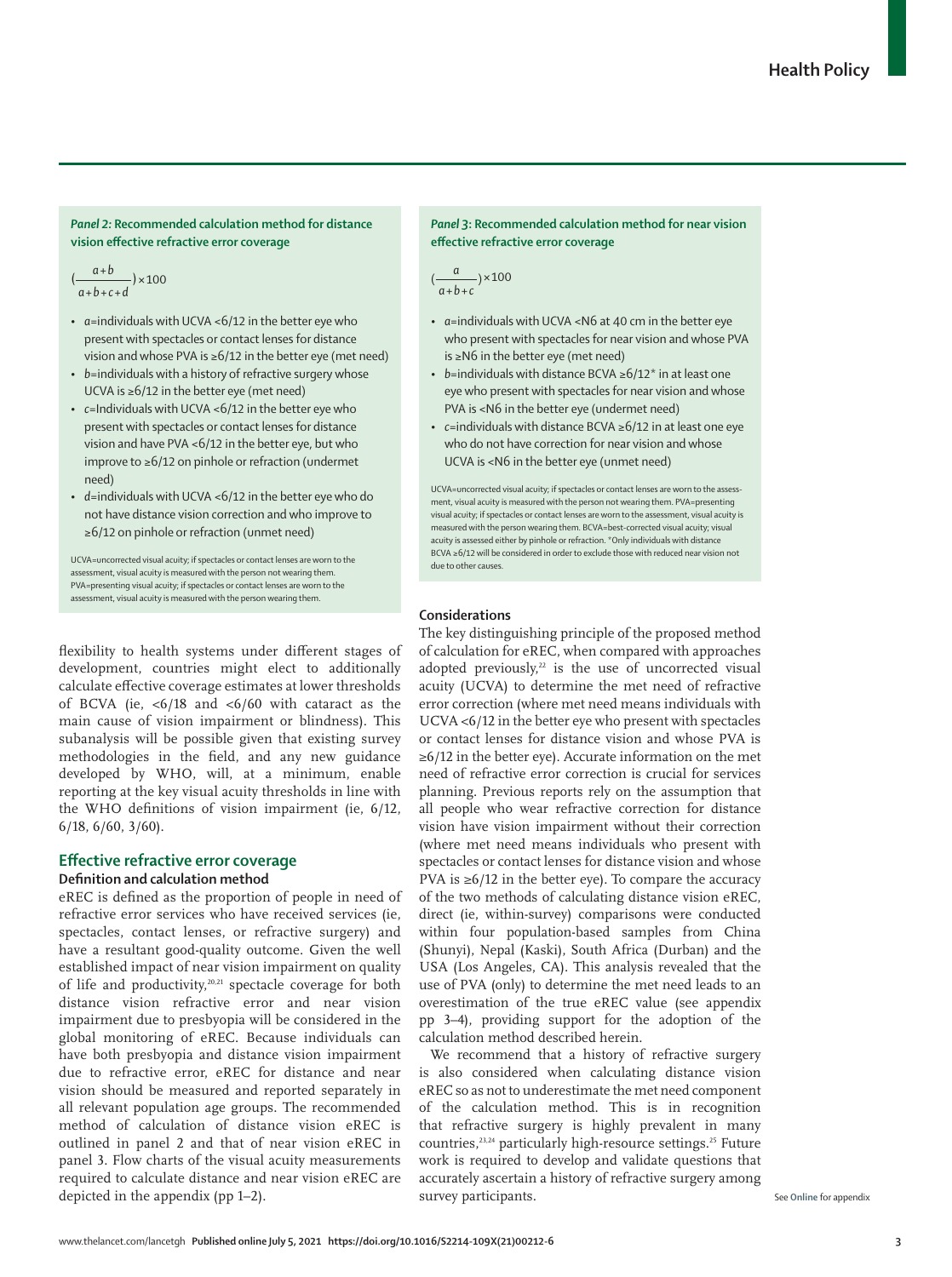# *Panel 2:* **Recommended calculation method for distance vision effective refractive error coverage**

*a+b*  $\left(\frac{a+b}{a+b+c+d}\right) \times 100$  *(* $\frac{a}{a+b}$ *)* 

- *a*=individuals with UCVA <6/12 in the better eye who present with spectacles or contact lenses for distance vision and whose PVA is ≥6/12 in the better eye (met need)
- *b*=individuals with a history of refractive surgery whose UCVA is ≥6/12 in the better eye (met need)
- *c*=Individuals with UCVA <6/12 in the better eye who present with spectacles or contact lenses for distance vision and have PVA <6/12 in the better eye, but who improve to ≥6/12 on pinhole or refraction (undermet need)
- *d*=individuals with UCVA <6/12 in the better eye who do not have distance vision correction and who improve to ≥6/12 on pinhole or refraction (unmet need)

UCVA=uncorrected visual acuity; if spectacles or contact lenses are worn to the assessment, visual acuity is measured with the person not wearing them. PVA=presenting visual acuity; if spectacles or contact lenses are worn to the assessment, visual acuity is measured with the person wearing them.

flexibility to health systems under different stages of development, countries might elect to additionally calculate effective coverage estimates at lower thresholds of BCVA (ie,  $\lt6/18$  and  $\lt6/60$  with cataract as the main cause of vision impairment or blindness). This subanalysis will be possible given that existing survey methodologies in the field, and any new guidance developed by WHO, will, at a minimum, enable reporting at the key visual acuity thresholds in line with the WHO definitions of vision impairment (ie, 6/12, 6/18, 6/60, 3/60).

# **Effective refractive error coverage Definition and calculation method**

eREC is defined as the proportion of people in need of refractive error services who have received services (ie, spectacles, contact lenses, or refractive surgery) and have a resultant good-quality outcome. Given the well established impact of near vision impairment on quality of life and productivity,20,21 spectacle coverage for both distance vision refractive error and near vision impairment due to presbyopia will be considered in the global monitoring of eREC. Because individuals can have both presbyopia and distance vision impairment due to refractive error, eREC for distance and near vision should be measured and reported separately in all relevant population age groups. The recommended method of calculation of distance vision eREC is outlined in panel 2 and that of near vision eREC in panel 3. Flow charts of the visual acuity measurements required to calculate distance and near vision eREC are depicted in the appendix (pp 1–2).

## *Panel 3***: Recommended calculation method for near vision effective refractive error coverage**

 $\left(\frac{a}{a+b+c}\right) \times 100$ 

- *a*=individuals with UCVA <N6 at 40 cm in the better eye who present with spectacles for near vision and whose PVA is ≥N6 in the better eye (met need)
- *b*=individuals with distance BCVA ≥6/12\* in at least one eye who present with spectacles for near vision and whose PVA is <N6 in the better eye (undermet need)
- *c*=individuals with distance BCVA ≥6/12 in at least one eye who do not have correction for near vision and whose UCVA is <N6 in the better eye (unmet need)

UCVA=uncorrected visual acuity; if spectacles or contact lenses are worn to the assessment, visual acuity is measured with the person not wearing them. PVA=presenting visual acuity; if spectacles or contact lenses are worn to the assessment, visual acuity is measured with the person wearing them. BCVA=best-corrected visual acuity; visual acuity is assessed either by pinhole or refraction. \*Only individuals with distance BCVA ≥6/12 will be considered in order to exclude those with reduced near vision not due to other causes.

# **Considerations**

The key distinguishing principle of the proposed method of calculation for eREC, when compared with approaches adopted previously, $22$  is the use of uncorrected visual acuity (UCVA) to determine the met need of refractive error correction (where met need means individuals with UCVA <6/12 in the better eye who present with spectacles or contact lenses for distance vision and whose PVA is ≥6/12 in the better eye). Accurate information on the met need of refractive error correction is crucial for services planning. Previous reports rely on the assumption that all people who wear refractive correction for distance vision have vision impairment without their correction (where met need means individuals who present with spectacles or contact lenses for distance vision and whose PVA is  $\geq 6/12$  in the better eye). To compare the accuracy of the two methods of calculating distance vision eREC, direct (ie, within-survey) comparisons were conducted within four population-based samples from China (Shunyi), Nepal (Kaski), South Africa (Durban) and the USA (Los Angeles, CA). This analysis revealed that the use of PVA (only) to determine the met need leads to an overestimation of the true eREC value (see appendix pp 3–4), providing support for the adoption of the calculation method described herein.

We recommend that a history of refractive surgery is also considered when calculating distance vision eREC so as not to underestimate the met need component of the calculation method. This is in recognition that refractive surgery is highly prevalent in many countries,<sup>23,24</sup> particularly high-resource settings.<sup>25</sup> Future work is required to develop and validate questions that accurately ascertain a history of refractive surgery among survey participants.

See **Online** for appendix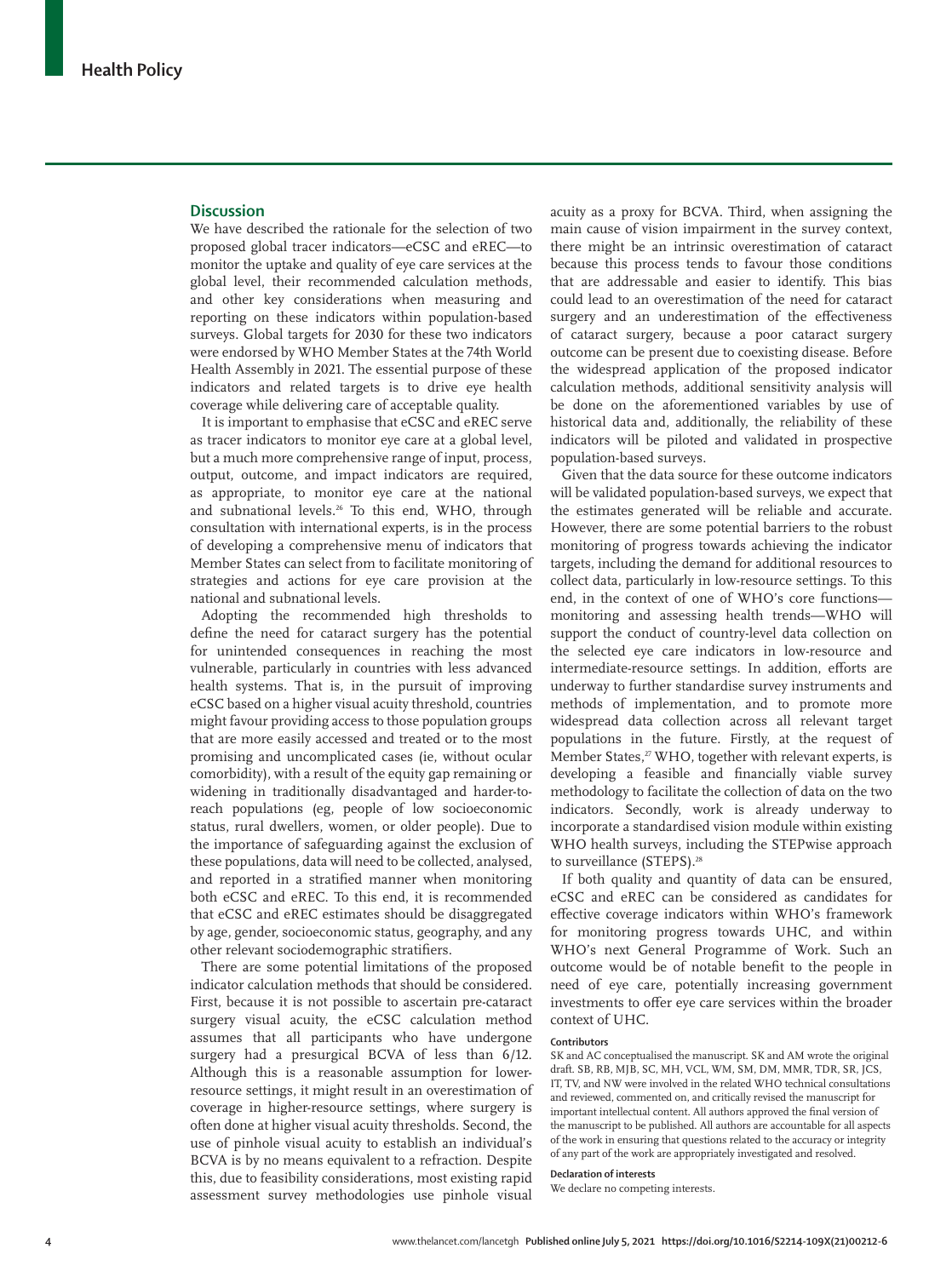# **Discussion**

We have described the rationale for the selection of two proposed global tracer indicators—eCSC and eREC—to monitor the uptake and quality of eye care services at the global level, their recommended calculation methods, and other key considerations when measuring and reporting on these indicators within population-based surveys. Global targets for 2030 for these two indicators were endorsed by WHO Member States at the 74th World Health Assembly in 2021. The essential purpose of these indicators and related targets is to drive eye health coverage while delivering care of acceptable quality.

It is important to emphasise that eCSC and eREC serve as tracer indicators to monitor eye care at a global level, but a much more comprehensive range of input, process, output, outcome, and impact indicators are required, as appropriate, to monitor eye care at the national and subnational levels.26 To this end, WHO, through consultation with international experts, is in the process of developing a comprehensive menu of indicators that Member States can select from to facilitate monitoring of strategies and actions for eye care provision at the national and subnational levels.

Adopting the recommended high thresholds to define the need for cataract surgery has the potential for unintended consequences in reaching the most vulnerable, particularly in countries with less advanced health systems. That is, in the pursuit of improving eCSC based on a higher visual acuity threshold, countries might favour providing access to those population groups that are more easily accessed and treated or to the most promising and uncomplicated cases (ie, without ocular comorbidity), with a result of the equity gap remaining or widening in traditionally disadvantaged and harder-toreach populations (eg, people of low socioeconomic status, rural dwellers, women, or older people). Due to the importance of safeguarding against the exclusion of these populations, data will need to be collected, analysed, and reported in a stratified manner when monitoring both eCSC and eREC. To this end, it is recommended that eCSC and eREC estimates should be disaggregated by age, gender, socioeconomic status, geography, and any other relevant sociodemographic stratifiers.

There are some potential limitations of the proposed indicator calculation methods that should be considered. First, because it is not possible to ascertain pre-cataract surgery visual acuity, the eCSC calculation method assumes that all participants who have undergone surgery had a presurgical BCVA of less than 6/12. Although this is a reasonable assumption for lowerresource settings, it might result in an overestimation of coverage in higher-resource settings, where surgery is often done at higher visual acuity thresholds. Second, the use of pinhole visual acuity to establish an individual's BCVA is by no means equivalent to a refraction. Despite this, due to feasibility considerations, most existing rapid assessment survey methodologies use pinhole visual

acuity as a proxy for BCVA. Third, when assigning the main cause of vision impairment in the survey context, there might be an intrinsic overestimation of cataract because this process tends to favour those conditions that are addressable and easier to identify. This bias could lead to an overestimation of the need for cataract surgery and an underestimation of the effectiveness of cataract surgery, because a poor cataract surgery outcome can be present due to coexisting disease. Before the widespread application of the proposed indicator calculation methods, additional sensitivity analysis will be done on the aforementioned variables by use of historical data and, additionally, the reliability of these indicators will be piloted and validated in prospective population-based surveys.

Given that the data source for these outcome indicators will be validated population-based surveys, we expect that the estimates generated will be reliable and accurate. However, there are some potential barriers to the robust monitoring of progress towards achieving the indicator targets, including the demand for additional resources to collect data, particularly in low-resource settings. To this end, in the context of one of WHO's core functions monitoring and assessing health trends—WHO will support the conduct of country-level data collection on the selected eye care indicators in low-resource and intermediate-resource settings. In addition, efforts are underway to further standardise survey instruments and methods of implementation, and to promote more widespread data collection across all relevant target populations in the future. Firstly, at the request of Member States,<sup>27</sup> WHO, together with relevant experts, is developing a feasible and financially viable survey methodology to facilitate the collection of data on the two indicators. Secondly, work is already underway to incorporate a standardised vision module within existing WHO health surveys, including the STEPwise approach to surveillance (STEPS).<sup>28</sup>

If both quality and quantity of data can be ensured, eCSC and eREC can be considered as candidates for effective coverage indicators within WHO's framework for monitoring progress towards UHC, and within WHO's next General Programme of Work. Such an outcome would be of notable benefit to the people in need of eye care, potentially increasing government investments to offer eye care services within the broader context of UHC.

#### **Contributors**

SK and AC conceptualised the manuscript. SK and AM wrote the original draft. SB, RB, MJB, SC, MH, VCL, WM, SM, DM, MMR, TDR, SR, JCS, IT, TV, and NW were involved in the related WHO technical consultations and reviewed, commented on, and critically revised the manuscript for important intellectual content. All authors approved the final version of the manuscript to be published. All authors are accountable for all aspects of the work in ensuring that questions related to the accuracy or integrity of any part of the work are appropriately investigated and resolved.

#### **Declaration of interests**

We declare no competing interests.